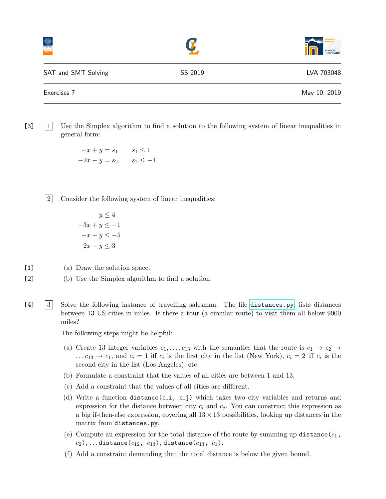|                     |         | universitä<br>nsbruck<br>Æ<br>institut für<br>informatik |
|---------------------|---------|----------------------------------------------------------|
| SAT and SMT Solving | SS 2019 | LVA 703048                                               |
| Exercises 7         |         | May 10, 2019                                             |

[3] 1 Use the Simplex algorithm to find a solution to the following system of linear inequalities in general form:

> $-x + y = s_1$   $s_1 \leq 1$  $-2x - y = s_2$   $s_2 \leq -4$

2 Consider the following system of linear inequalities:

$$
y \le 4
$$
  

$$
-3x + y \le -1
$$
  

$$
-x - y \le -5
$$
  

$$
2x - y \le 3
$$

[1] (a) Draw the solution space.

- [2] (b) Use the Simplex algorithm to find a solution.
- [4] 3 Solve the following instance of travelling salesman. The file [distances.py](http://cl-informatik.uibk.ac.at/teaching/ss18/satsmt/sources/distances.py), lists distances between 13 US cities in miles. Is there a tour (a circular route) to visit them all below 9000 miles?

The following steps might be helpful:

- (a) Create 13 integer variables  $c_1, \ldots, c_{13}$  with the semantics that the route is  $c_1 \rightarrow c_2 \rightarrow$ ...  $c_{13} \rightarrow c_1$ , and  $c_i = 1$  iff  $c_i$  is the first city in the list (New York),  $c_i = 2$  iff  $c_i$  is the second city in the list (Los Angeles), etc.
- (b) Formulate a constraint that the values of all cities are between 1 and 13.
- (c) Add a constraint that the values of all cities are different.
- (d) Write a function distance(c<sub>-</sub>i, c<sub>-j</sub>) which takes two city variables and returns and expression for the distance between city  $c_i$  and  $c_j$ . You can construct this expression as a big if-then-else expression, covering all  $13 \times 13$  possibilities, looking up distances in the matrix from distances.py.
- (e) Compute an expression for the total distance of the route by summing up distance  $(c_1,$  $(c_2), \ldots$  distance( $c_{12}, c_{13}$ ), distance( $c_{13}, c_1$ ).
- (f) Add a constraint demanding that the total distance is below the given bound.